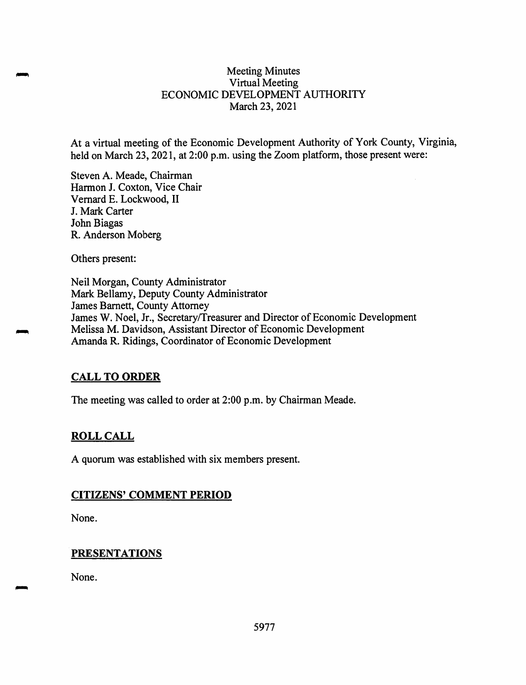#### Meeting Minutes Virtual Meeting ECONOMIC DEVELOPMENT AUTHORITY March 23, 2021

At a virtual meeting of the Economic Development Authority of York County, Virginia, held on March 23, 2021, at 2:00 p.m. using the Zoom platform, those present were:

Steven A. Meade, Chairman Harmon J. Coxton, Vice Chair Vemard E. Lockwood, II J. Mark Carter John Biagas R. Anderson Moberg

Others present:

Neil Morgan, County Administrator Mark Bellamy, Deputy County Administrator James Barnett, County Attorney James W. Noel, Jr., Secretary/Treasurer and Director of Economic Development Melissa M. Davidson, Assistant Director of Economic Development Amanda R. Ridings, Coordinator of Economic Development

### **CALL TO ORDER**

The meeting was called to order at 2:00 p.m. by Chairman Meade.

### **ROLL CALL**

A quorum was established with six members present.

### **CITIZENS' COMMENT PERIOD**

None.

### **PRESENTATIONS**

**None.**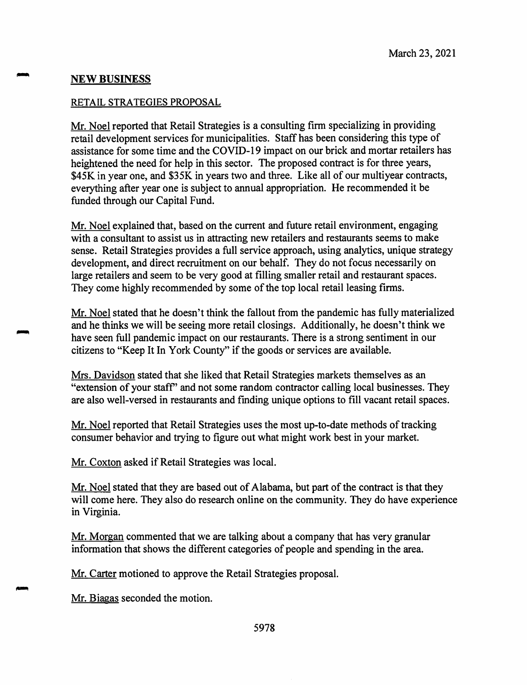## **NEW BUSINESS**

#### **RETAIL STRATEGIES PROPOSAL**

Mr. Noel reported that Retail Strategies is a consulting firm specializing in providing retail development services for municipalities. Staff has been considering this type of assistance for some time and the COVID-19 impact on our brick and mortar retailers has heightened the need for help in this sector. The proposed contract is for three years, \$45K in year one, and \$35K in years two and three. Like all of our multiyear contracts, everything after year one is subject to annual appropriation. He recommended it be funded through our Capital Fund.

Mr. Noel explained that, based on the current and future retail environment, engaging with a consultant to assist us in attracting new retailers and restaurants seems to make sense. Retail Strategies provides a full service approach, using analytics, unique strategy development, and direct recruitment on our behalf. They do not focus necessarily on large retailers and seem to be very good at filling smaller retail and restaurant spaces. They come highly recommended by some of the top local retail leasing firms.

Mr. Noel stated that he doesn't think the fallout from the pandemic has fully materialized and he thinks we will be seeing more retail closings. Additionally, he doesn't think we have seen full pandemic impact on our restaurants. There is a strong sentiment in our citizens to "Keep It In York County" if the goods or services are available.

Mrs. Davidson stated that she liked that Retail Strategies markets themselves as an "extension of your staff' and not some random contractor calling local businesses. They are also well-versed in restaurants and finding unique options to fill vacant retail spaces.

Mr. Noel reported that Retail Strategies uses the most up-to-date methods of tracking consumer behavior and trying to figure out what might work best in your market.

Mr. Coxton asked if Retail Strategies was local.

Mr. Noel stated that they are based out of Alabama, but part of the contract is that they will come here. They also do research online on the community. They do have experience in Virginia.

Mr. Morgan commented that we are talking about a company that has very granular information that shows the different categories of people and spending in the area.

Mr. Carter motioned to approve the Retail Strategies proposal.

Mr. Biagas seconded the motion.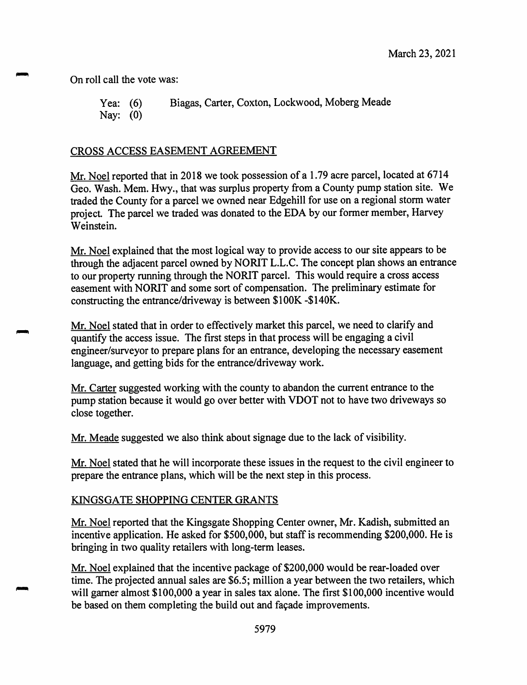On roll call the vote was:

Yea: (6) Biagas, Carter, Coxton, Lockwood, Moberg Meade Nay: (0)

## CROSS ACCESS EASEMENT AGREEMENT

Mr. Noel reported that in <sup>2018</sup> we took possession of <sup>a</sup> 1.79 acre parcel, located at 6714 Geo. Wash. Mem. Hwy., that was surplus property from <sup>a</sup> County pump station site. We traded the County for <sup>a</sup> parce<sup>l</sup> we owned near Edgehill for use on <sup>a</sup> regional storm water project. The parce<sup>l</sup> we traded was donated to the EDA by our former member, Harvey Weinstein.

Mr. Noel explained that the most logical way to provide access to our site appears to be through the adjacent parce<sup>l</sup> owned by NORIT <sup>L</sup>.L.C. The concep<sup>t</sup> <sup>p</sup>lan shows an entrance to our property running through the NORIT parcel. This would require <sup>a</sup> cross access easement with NORIT and some sort of compensation. The preliminary estimate for constructing the entrance/driveway is between \$100<sup>K</sup> -\$140K.

Mr. Noel stated that in order to effectively market this parcel, we need to clarify and quantify the access issue. The first steps in that process will be engaging <sup>a</sup> civil engineer/surveyor to prepare plans for an entrance, developing the necessary easement language, and getting bids for the entrance/driveway work.

Mr.Carter suggested working with the county to abandon the current entrance to the pump station because it would go over better with VDOT not to have two driveways so close together.

Mr. Meade suggested we also think about signage due to the lack of visibility.

Mr. Noel stated that he will incorporate these issues in the reques<sup>t</sup> to the civil engineer to prepare the entrance plans, which will be the next step in this process.

## KINGSGATE SHOPPING CENTER GRANTS

Mr. Noel reported that the Kingsgate Shopping Center owner, Mr. Kadish, submitted an incentive application. He asked for \$500,000, but staff is recommending \$200,000. He is bringing in two quality retailers with long-term leases.

Mr. Noel explained that the incentive package of \$200,000 would be rear-loaded over time. The projected annual sales are \$6.5; million <sup>a</sup> year between the two retailers, which will gamer almost \$100,000 <sup>a</sup> year in sales tax alone. The first \$100,000 incentive would be based on them completing the build out and facade improvements.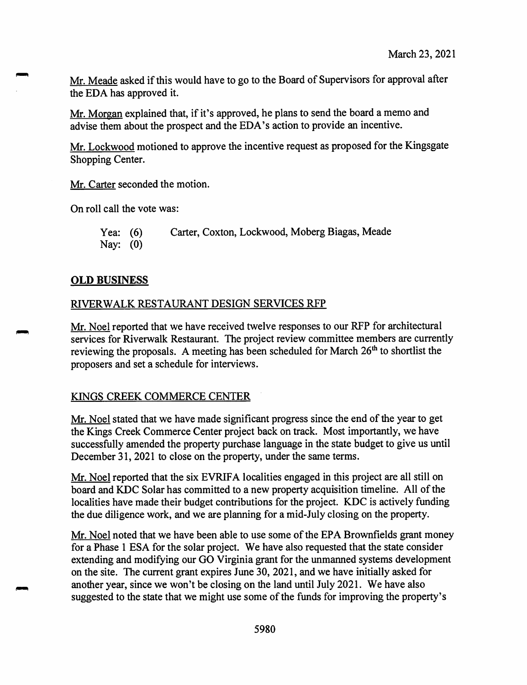Mr. Meade asked if this would have to go to the Board of Supervisors for approval after the EDA has approved it.

Mr. Morgan explained that, if it's approved, he <sup>p</sup>lans to send the board <sup>a</sup> memo and advise them about the prospec<sup>t</sup> and the EDA's action to provide an incentive.

Mr. Lockwood motioned to approve the incentive reques<sup>t</sup> as propose<sup>d</sup> for the Kingsgate Shopping Center.

Mr. Carter seconded the motion.

On roll call the vote was:

Yea: (6) Carter, Coxton, Lockwood, Moberg Biagas, Meade Nay: (0)

#### **OLD BUSINESS**

#### RIVERWALK RESTAURANT DESIGN SERVICES RFP

Mr. Noel reported that we have received twelve responses to our RFP for architectural services for Riverwalk Restaurant. The project review committee members are currently reviewing the proposals. A meeting has been scheduled for March 26<sup>th</sup> to shortlist the proposers and set <sup>a</sup> schedule for interviews.

#### KINGS CREEK COMMERCE CENTER

Mr. Noel stated that we have made significant progress since the end of the year to get the Kings Creek Commerce Center project back on track. Most importantly, we have successfully amended the property purchase language in the state budget to give us until December 31, 2021 to close on the property, under the same terms.

Mr. Noel reported that the six EVRIFA localities engaged in this project are all still on board and KDC Solar has committed to <sup>a</sup> new property acquisition timeline. All of the localities have made their budget contributions for the project. KDC is actively funding the due diligence work, and we are planning for <sup>a</sup> mid-July closing on the property.

Mr. Noel noted that we have been able to use some of the EPA Brownfields gran<sup>t</sup> money for <sup>a</sup> Phase 1 ESA for the solar project. We have also requested that the state consider extending and modifying our GO Virginia gran<sup>t</sup> for the unmanned systems development on the site. The current gran<sup>t</sup> expires June 30, 2021, and we have initially asked for another year, since we won't be closing on the land until July 2021. We have also suggested to the state that we might use some of the funds for improving the property's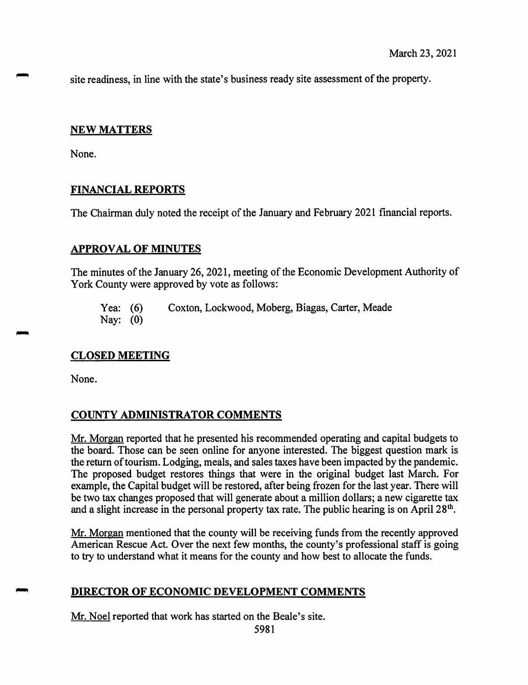site readiness, in line with the state's business ready site assessment of the property.

### **NEW MATTERS**

None.

# **FINANCIAL REPORTS**

The Chairman duly noted the receipt of the January and February 2021 financial reports.

## **APPROVAL OF MINUTES**

The minutes of the January 26, 2021, meeting of the Economic Development Authority of York County were approved by vote as follows:

Yea: (6) Coxton, Lockwood, Moberg, Biagas, Carter, Meade Nay: (0)

# **CLOSED MEETING**

None.

# **COUNTY ADMINISTRATOR COMMENTS**

Mr. Morgan reported that he presented his recommended operating and capital budgets to the board. Those can be seen online for anyone interested. The biggest question mark is the return of tourism. Lodging, meals, and sales taxes have been impacted by the pandemic. The proposed budget restores things that were in the original budget last March. For example, the Capital budget will be restored, after being frozen for the last year. There will be two tax changes proposed that will generate about a million dollars; a new cigarette tax and a slight increase in the personal property tax rate. The public hearing is on April 28<sup>th</sup>.

Mr. Morgan mentioned that the county will be receiving funds from the recently approved American Rescue Act. Over the next few months, the county's professional staff is going to try to understand what it means for the county and how best to allocate the funds.

# **DIRECTOR OF ECONOMIC DEVELOPMENT COMMENTS**

Mr. Noel reported that work has started on the Beale's site.